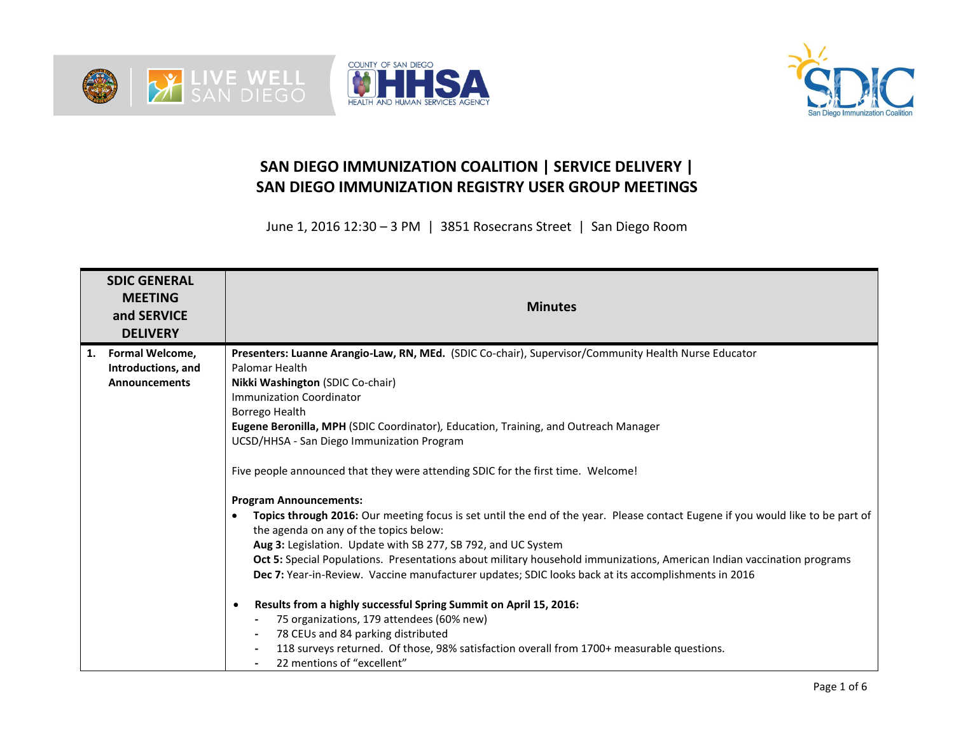





## **SAN DIEGO IMMUNIZATION COALITION | SERVICE DELIVERY | SAN DIEGO IMMUNIZATION REGISTRY USER GROUP MEETINGS**

June 1, 2016 12:30 – 3 PM | 3851 Rosecrans Street | San Diego Room

|    | <b>SDIC GENERAL</b><br><b>MEETING</b><br>and SERVICE<br><b>DELIVERY</b> | <b>Minutes</b>                                                                                                                                                           |
|----|-------------------------------------------------------------------------|--------------------------------------------------------------------------------------------------------------------------------------------------------------------------|
| 1. | Formal Welcome,                                                         | Presenters: Luanne Arangio-Law, RN, MEd. (SDIC Co-chair), Supervisor/Community Health Nurse Educator                                                                     |
|    | Introductions, and                                                      | Palomar Health                                                                                                                                                           |
|    | <b>Announcements</b>                                                    | Nikki Washington (SDIC Co-chair)                                                                                                                                         |
|    |                                                                         | <b>Immunization Coordinator</b>                                                                                                                                          |
|    |                                                                         | Borrego Health                                                                                                                                                           |
|    |                                                                         | Eugene Beronilla, MPH (SDIC Coordinator), Education, Training, and Outreach Manager                                                                                      |
|    |                                                                         | UCSD/HHSA - San Diego Immunization Program                                                                                                                               |
|    |                                                                         | Five people announced that they were attending SDIC for the first time. Welcome!                                                                                         |
|    |                                                                         | <b>Program Announcements:</b>                                                                                                                                            |
|    |                                                                         | Topics through 2016: Our meeting focus is set until the end of the year. Please contact Eugene if you would like to be part of<br>the agenda on any of the topics below: |
|    |                                                                         | Aug 3: Legislation. Update with SB 277, SB 792, and UC System                                                                                                            |
|    |                                                                         | Oct 5: Special Populations. Presentations about military household immunizations, American Indian vaccination programs                                                   |
|    |                                                                         | Dec 7: Year-in-Review. Vaccine manufacturer updates; SDIC looks back at its accomplishments in 2016                                                                      |
|    |                                                                         | Results from a highly successful Spring Summit on April 15, 2016:<br>$\bullet$                                                                                           |
|    |                                                                         | 75 organizations, 179 attendees (60% new)                                                                                                                                |
|    |                                                                         | 78 CEUs and 84 parking distributed                                                                                                                                       |
|    |                                                                         | 118 surveys returned. Of those, 98% satisfaction overall from 1700+ measurable questions.                                                                                |
|    |                                                                         | 22 mentions of "excellent"                                                                                                                                               |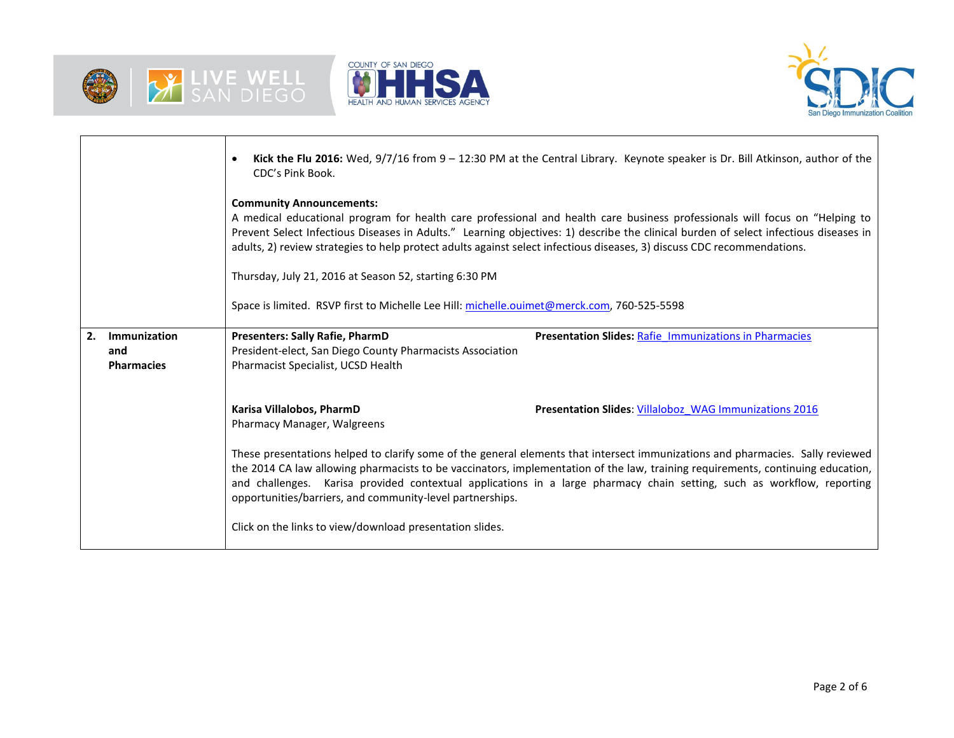





|                                                | Kick the Flu 2016: Wed, 9/7/16 from 9 - 12:30 PM at the Central Library. Keynote speaker is Dr. Bill Atkinson, author of the<br>$\bullet$<br>CDC's Pink Book.                                                                                                                                                                                                                                                                                            |  |  |  |  |  |  |
|------------------------------------------------|----------------------------------------------------------------------------------------------------------------------------------------------------------------------------------------------------------------------------------------------------------------------------------------------------------------------------------------------------------------------------------------------------------------------------------------------------------|--|--|--|--|--|--|
|                                                | <b>Community Announcements:</b><br>A medical educational program for health care professional and health care business professionals will focus on "Helping to<br>Prevent Select Infectious Diseases in Adults." Learning objectives: 1) describe the clinical burden of select infectious diseases in<br>adults, 2) review strategies to help protect adults against select infectious diseases, 3) discuss CDC recommendations.                        |  |  |  |  |  |  |
|                                                | Thursday, July 21, 2016 at Season 52, starting 6:30 PM                                                                                                                                                                                                                                                                                                                                                                                                   |  |  |  |  |  |  |
|                                                | Space is limited. RSVP first to Michelle Lee Hill: michelle.ouimet@merck.com, 760-525-5598                                                                                                                                                                                                                                                                                                                                                               |  |  |  |  |  |  |
| 2.<br>Immunization<br>and<br><b>Pharmacies</b> | Presenters: Sally Rafie, PharmD<br>Presentation Slides: Rafie Immunizations in Pharmacies<br>President-elect, San Diego County Pharmacists Association<br>Pharmacist Specialist, UCSD Health                                                                                                                                                                                                                                                             |  |  |  |  |  |  |
|                                                | Karisa Villalobos, PharmD<br><b>Presentation Slides: Villaloboz WAG Immunizations 2016</b><br>Pharmacy Manager, Walgreens                                                                                                                                                                                                                                                                                                                                |  |  |  |  |  |  |
|                                                | These presentations helped to clarify some of the general elements that intersect immunizations and pharmacies. Sally reviewed<br>the 2014 CA law allowing pharmacists to be vaccinators, implementation of the law, training requirements, continuing education,<br>and challenges. Karisa provided contextual applications in a large pharmacy chain setting, such as workflow, reporting<br>opportunities/barriers, and community-level partnerships. |  |  |  |  |  |  |
|                                                | Click on the links to view/download presentation slides.                                                                                                                                                                                                                                                                                                                                                                                                 |  |  |  |  |  |  |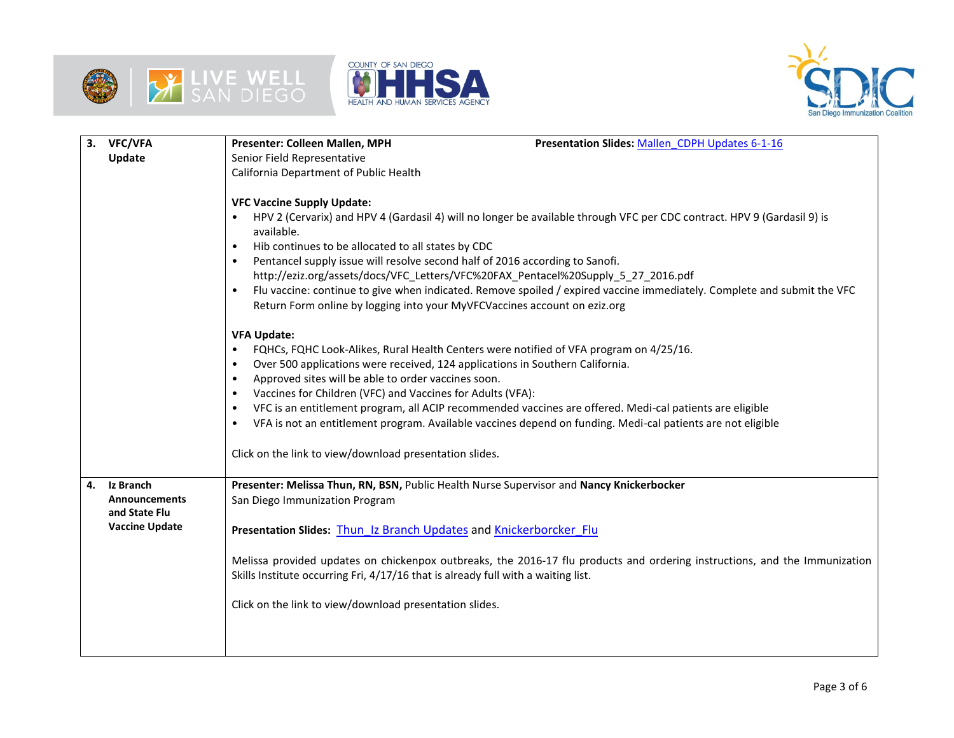





| 3. | <b>VFC/VFA</b>        | Presenter: Colleen Mallen, MPH<br>Presentation Slides: Mallen CDPH Updates 6-1-16                                                     |  |  |  |  |  |  |
|----|-----------------------|---------------------------------------------------------------------------------------------------------------------------------------|--|--|--|--|--|--|
|    | Update                | Senior Field Representative                                                                                                           |  |  |  |  |  |  |
|    |                       | California Department of Public Health                                                                                                |  |  |  |  |  |  |
|    |                       |                                                                                                                                       |  |  |  |  |  |  |
|    |                       | <b>VFC Vaccine Supply Update:</b>                                                                                                     |  |  |  |  |  |  |
|    |                       | HPV 2 (Cervarix) and HPV 4 (Gardasil 4) will no longer be available through VFC per CDC contract. HPV 9 (Gardasil 9) is<br>available. |  |  |  |  |  |  |
|    |                       | Hib continues to be allocated to all states by CDC                                                                                    |  |  |  |  |  |  |
|    |                       | Pentancel supply issue will resolve second half of 2016 according to Sanofi.                                                          |  |  |  |  |  |  |
|    |                       | http://eziz.org/assets/docs/VFC_Letters/VFC%20FAX_Pentacel%20Supply_5_27_2016.pdf                                                     |  |  |  |  |  |  |
|    |                       | Flu vaccine: continue to give when indicated. Remove spoiled / expired vaccine immediately. Complete and submit the VFC               |  |  |  |  |  |  |
|    |                       | Return Form online by logging into your MyVFCVaccines account on eziz.org                                                             |  |  |  |  |  |  |
|    |                       |                                                                                                                                       |  |  |  |  |  |  |
|    |                       | <b>VFA Update:</b>                                                                                                                    |  |  |  |  |  |  |
|    |                       | FQHCs, FQHC Look-Alikes, Rural Health Centers were notified of VFA program on 4/25/16.                                                |  |  |  |  |  |  |
|    |                       | Over 500 applications were received, 124 applications in Southern California.<br>٠                                                    |  |  |  |  |  |  |
|    |                       | Approved sites will be able to order vaccines soon.<br>$\bullet$                                                                      |  |  |  |  |  |  |
|    |                       | Vaccines for Children (VFC) and Vaccines for Adults (VFA):<br>٠                                                                       |  |  |  |  |  |  |
|    |                       | VFC is an entitlement program, all ACIP recommended vaccines are offered. Medi-cal patients are eligible<br>$\bullet$                 |  |  |  |  |  |  |
|    |                       | VFA is not an entitlement program. Available vaccines depend on funding. Medi-cal patients are not eligible<br>$\bullet$              |  |  |  |  |  |  |
|    |                       |                                                                                                                                       |  |  |  |  |  |  |
|    |                       | Click on the link to view/download presentation slides.                                                                               |  |  |  |  |  |  |
|    |                       |                                                                                                                                       |  |  |  |  |  |  |
| 4. | Iz Branch             | Presenter: Melissa Thun, RN, BSN, Public Health Nurse Supervisor and Nancy Knickerbocker                                              |  |  |  |  |  |  |
|    | <b>Announcements</b>  | San Diego Immunization Program                                                                                                        |  |  |  |  |  |  |
|    | and State Flu         |                                                                                                                                       |  |  |  |  |  |  |
|    | <b>Vaccine Update</b> | Presentation Slides: Thun Iz Branch Updates and Knickerborcker Flu                                                                    |  |  |  |  |  |  |
|    |                       |                                                                                                                                       |  |  |  |  |  |  |
|    |                       | Melissa provided updates on chickenpox outbreaks, the 2016-17 flu products and ordering instructions, and the Immunization            |  |  |  |  |  |  |
|    |                       | Skills Institute occurring Fri, 4/17/16 that is already full with a waiting list.                                                     |  |  |  |  |  |  |
|    |                       |                                                                                                                                       |  |  |  |  |  |  |
|    |                       | Click on the link to view/download presentation slides.                                                                               |  |  |  |  |  |  |
|    |                       |                                                                                                                                       |  |  |  |  |  |  |
|    |                       |                                                                                                                                       |  |  |  |  |  |  |
|    |                       |                                                                                                                                       |  |  |  |  |  |  |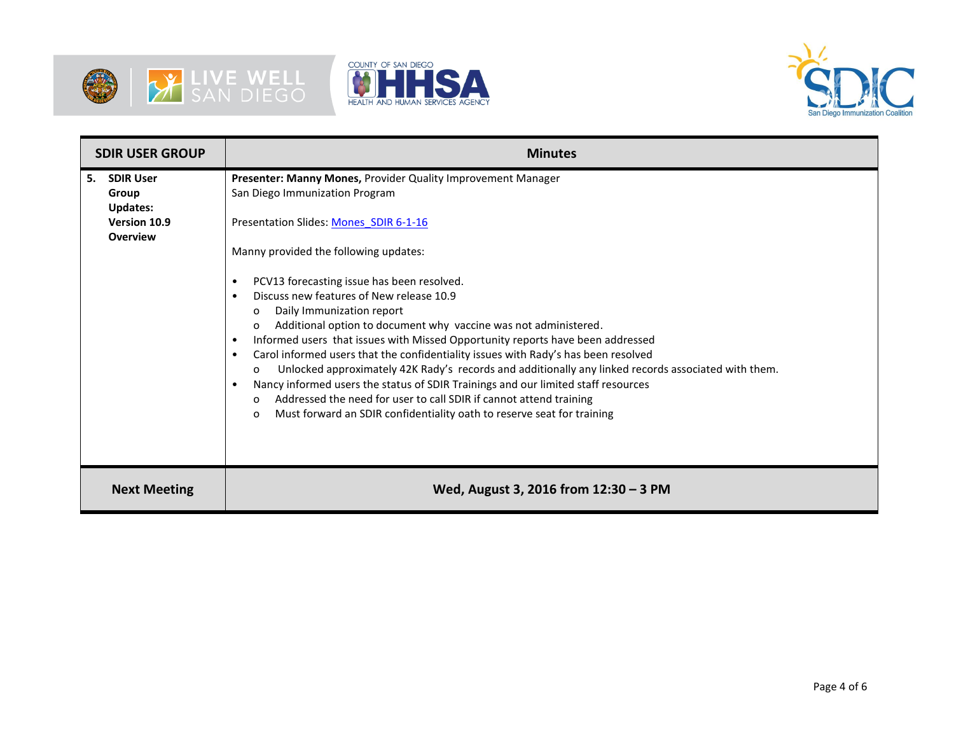





| <b>SDIR USER GROUP</b>                                                                |  | <b>Minutes</b>                                                                                                                                                                                                                                                                                                                                                                                                                                                                                                                                                                                                                                                                                                                                                                                                                                                                                                                                                                                                 |  |  |  |  |  |
|---------------------------------------------------------------------------------------|--|----------------------------------------------------------------------------------------------------------------------------------------------------------------------------------------------------------------------------------------------------------------------------------------------------------------------------------------------------------------------------------------------------------------------------------------------------------------------------------------------------------------------------------------------------------------------------------------------------------------------------------------------------------------------------------------------------------------------------------------------------------------------------------------------------------------------------------------------------------------------------------------------------------------------------------------------------------------------------------------------------------------|--|--|--|--|--|
| <b>SDIR User</b><br>5.<br>Group<br><b>Updates:</b><br>Version 10.9<br><b>Overview</b> |  | Presenter: Manny Mones, Provider Quality Improvement Manager<br>San Diego Immunization Program<br>Presentation Slides: Mones SDIR 6-1-16<br>Manny provided the following updates:<br>PCV13 forecasting issue has been resolved.<br>$\bullet$<br>Discuss new features of New release 10.9<br>$\bullet$<br>Daily Immunization report<br>0<br>Additional option to document why vaccine was not administered.<br>$\Omega$<br>Informed users that issues with Missed Opportunity reports have been addressed<br>$\bullet$<br>Carol informed users that the confidentiality issues with Rady's has been resolved<br>$\bullet$<br>Unlocked approximately 42K Rady's records and additionally any linked records associated with them.<br>$\Omega$<br>Nancy informed users the status of SDIR Trainings and our limited staff resources<br>$\bullet$<br>Addressed the need for user to call SDIR if cannot attend training<br>$\Omega$<br>Must forward an SDIR confidentiality oath to reserve seat for training<br>0 |  |  |  |  |  |
| <b>Next Meeting</b>                                                                   |  | Wed, August 3, 2016 from 12:30 - 3 PM                                                                                                                                                                                                                                                                                                                                                                                                                                                                                                                                                                                                                                                                                                                                                                                                                                                                                                                                                                          |  |  |  |  |  |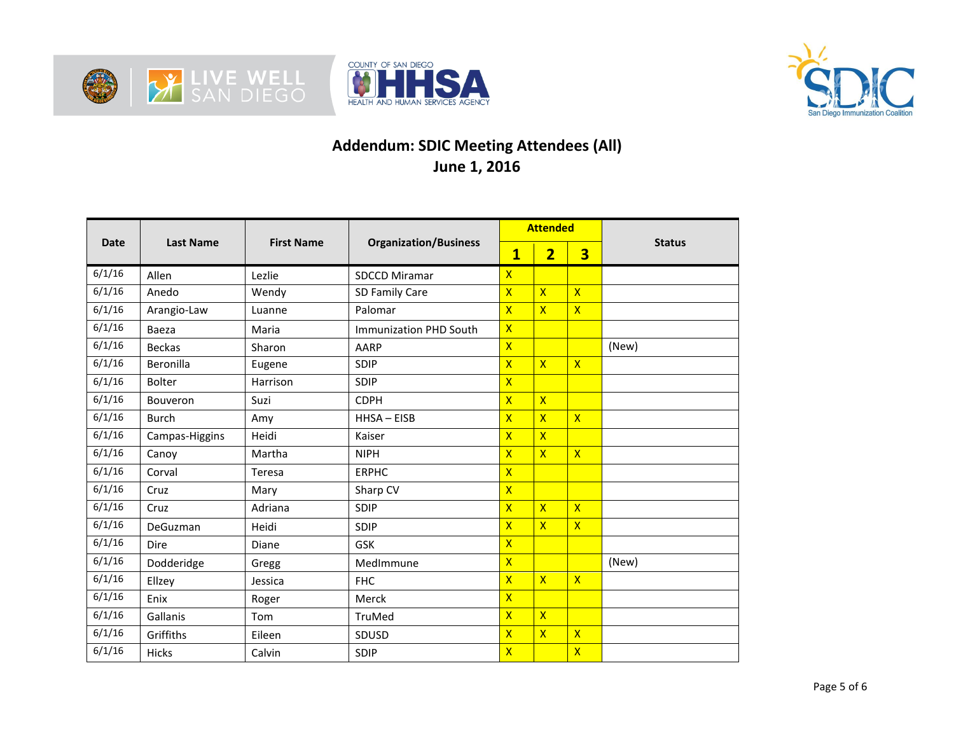





## **Addendum: SDIC Meeting Attendees (All) June 1, 2016**

|             | <b>Last Name</b> | <b>First Name</b> | <b>Organization/Business</b> | <b>Attended</b>         |                         |                         |               |
|-------------|------------------|-------------------|------------------------------|-------------------------|-------------------------|-------------------------|---------------|
| <b>Date</b> |                  |                   |                              | $\overline{\mathbf{1}}$ | $\overline{2}$          | $\overline{\mathbf{3}}$ | <b>Status</b> |
| 6/1/16      | Allen            | Lezlie            | <b>SDCCD Miramar</b>         | $\mathsf{x}$            |                         |                         |               |
| 6/1/16      | Anedo            | Wendy             | SD Family Care               | $\overline{\mathsf{x}}$ | $\overline{\mathsf{x}}$ | $\overline{\mathsf{x}}$ |               |
| 6/1/16      | Arangio-Law      | Luanne            | Palomar                      | $\overline{\mathsf{X}}$ | $\overline{\mathsf{x}}$ | $\mathsf{X}$            |               |
| 6/1/16      | Baeza            | Maria             | Immunization PHD South       | $\overline{\mathsf{x}}$ |                         |                         |               |
| 6/1/16      | <b>Beckas</b>    | Sharon            | AARP                         | $\overline{\mathsf{x}}$ |                         |                         | (New)         |
| 6/1/16      | Beronilla        | Eugene            | <b>SDIP</b>                  | $\overline{\mathsf{X}}$ | $\overline{\mathsf{x}}$ | $\mathsf{X}$            |               |
| 6/1/16      | <b>Bolter</b>    | Harrison          | <b>SDIP</b>                  | $\overline{\mathsf{X}}$ |                         |                         |               |
| 6/1/16      | <b>Bouveron</b>  | Suzi              | <b>CDPH</b>                  | $\overline{\mathsf{X}}$ | $\overline{\mathsf{x}}$ |                         |               |
| 6/1/16      | <b>Burch</b>     | Amy               | HHSA-EISB                    | $\overline{\mathsf{x}}$ | $\overline{\mathsf{x}}$ | $\overline{\mathsf{x}}$ |               |
| 6/1/16      | Campas-Higgins   | Heidi             | Kaiser                       | $\overline{\mathsf{X}}$ | $\overline{\mathsf{x}}$ |                         |               |
| 6/1/16      | Canoy            | Martha            | <b>NIPH</b>                  | $\overline{\mathsf{x}}$ | $\overline{\mathsf{x}}$ | $\overline{\mathsf{x}}$ |               |
| 6/1/16      | Corval           | Teresa            | <b>ERPHC</b>                 | $\overline{\mathsf{X}}$ |                         |                         |               |
| 6/1/16      | Cruz             | Mary              | Sharp CV                     | $\overline{\mathsf{X}}$ |                         |                         |               |
| 6/1/16      | Cruz             | Adriana           | SDIP                         | $\overline{\mathsf{X}}$ | $\overline{\mathsf{X}}$ | $\overline{\mathsf{x}}$ |               |
| 6/1/16      | DeGuzman         | Heidi             | SDIP                         | $\overline{\mathsf{X}}$ | $\overline{\mathsf{x}}$ | $\overline{\mathsf{x}}$ |               |
| 6/1/16      | Dire             | Diane             | GSK                          | $\overline{X}$          |                         |                         |               |
| 6/1/16      | Dodderidge       | Gregg             | MedImmune                    | $\overline{\mathsf{x}}$ |                         |                         | (New)         |
| 6/1/16      | Ellzey           | Jessica           | <b>FHC</b>                   | $\overline{\mathsf{X}}$ | $\overline{\mathsf{x}}$ | $\overline{\mathsf{X}}$ |               |
| 6/1/16      | Enix             | Roger             | Merck                        | $\overline{\mathsf{X}}$ |                         |                         |               |
| 6/1/16      | Gallanis         | Tom               | TruMed                       | $\overline{\mathsf{X}}$ | $\overline{\mathsf{x}}$ |                         |               |
| 6/1/16      | Griffiths        | Eileen            | SDUSD                        | $\overline{\mathsf{X}}$ | $\overline{\mathsf{x}}$ | $\overline{X}$          |               |
| 6/1/16      | Hicks            | Calvin            | SDIP                         | $\overline{\mathsf{X}}$ |                         | $\overline{\mathsf{X}}$ |               |